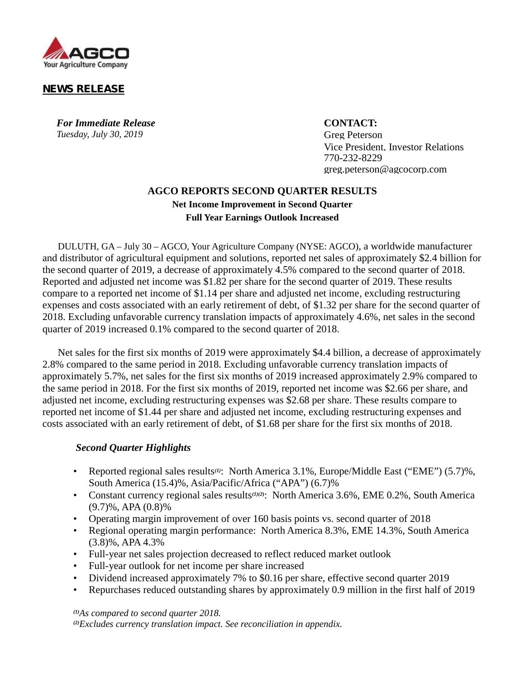

## **NEWS RELEASE**

*For Immediate Release* **CONTACT:** *Tuesday, July 30, 2019* Greg Peterson

Vice President, Investor Relations 770-232-8229 greg.peterson@agcocorp.com

## **AGCO REPORTS SECOND QUARTER RESULTS Net Income Improvement in Second Quarter Full Year Earnings Outlook Increased**

DULUTH, GA – July 30 – AGCO, Your Agriculture Company (NYSE: AGCO), a worldwide manufacturer and distributor of agricultural equipment and solutions, reported net sales of approximately \$2.4 billion for the second quarter of 2019, a decrease of approximately 4.5% compared to the second quarter of 2018. Reported and adjusted net income was \$1.82 per share for the second quarter of 2019. These results compare to a reported net income of \$1.14 per share and adjusted net income, excluding restructuring expenses and costs associated with an early retirement of debt, of \$1.32 per share for the second quarter of 2018. Excluding unfavorable currency translation impacts of approximately 4.6%, net sales in the second quarter of 2019 increased 0.1% compared to the second quarter of 2018.

Net sales for the first six months of 2019 were approximately \$4.4 billion, a decrease of approximately 2.8% compared to the same period in 2018. Excluding unfavorable currency translation impacts of approximately 5.7%, net sales for the first six months of 2019 increased approximately 2.9% compared to the same period in 2018. For the first six months of 2019, reported net income was \$2.66 per share, and adjusted net income, excluding restructuring expenses was \$2.68 per share. These results compare to reported net income of \$1.44 per share and adjusted net income, excluding restructuring expenses and costs associated with an early retirement of debt, of \$1.68 per share for the first six months of 2018.

### *Second Quarter Highlights*

- Reported regional sales results*(1)*: North America 3.1%, Europe/Middle East ("EME") (5.7)%, South America (15.4)%, Asia/Pacific/Africa ("APA") (6.7)%
- Constant currency regional sales results*(1)(2***)**: North America 3.6%, EME 0.2%, South America (9.7)%, APA (0.8)%
- Operating margin improvement of over 160 basis points vs. second quarter of 2018
- Regional operating margin performance: North America 8.3%, EME 14.3%, South America (3.8)%, APA 4.3%
- Full-year net sales projection decreased to reflect reduced market outlook
- Full-year outlook for net income per share increased
- Dividend increased approximately 7% to \$0.16 per share, effective second quarter 2019
- Repurchases reduced outstanding shares by approximately 0.9 million in the first half of 2019

*(1)As compared to second quarter 2018. (2)Excludes currency translation impact. See reconciliation in appendix.*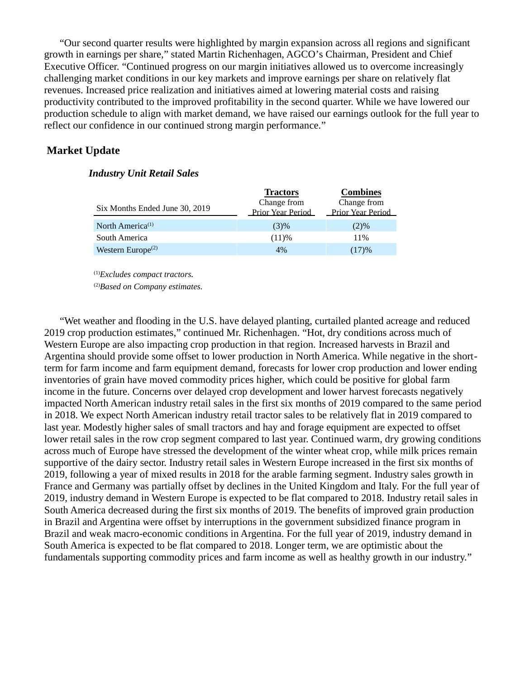"Our second quarter results were highlighted by margin expansion across all regions and significant growth in earnings per share," stated Martin Richenhagen, AGCO's Chairman, President and Chief Executive Officer. "Continued progress on our margin initiatives allowed us to overcome increasingly challenging market conditions in our key markets and improve earnings per share on relatively flat revenues. Increased price realization and initiatives aimed at lowering material costs and raising productivity contributed to the improved profitability in the second quarter. While we have lowered our production schedule to align with market demand, we have raised our earnings outlook for the full year to reflect our confidence in our continued strong margin performance."

### **Market Update**

#### *Industry Unit Retail Sales*

|                                            | <b>Tractors</b>                         | <b>Combines</b>                         |
|--------------------------------------------|-----------------------------------------|-----------------------------------------|
| Six Months Ended June 30, 2019             | Change from<br><b>Prior Year Period</b> | Change from<br><b>Prior Year Period</b> |
| North America <sup>(1)</sup>               | (3)%                                    | (2)%                                    |
| South America                              | (11)%                                   | 11%                                     |
| Western Europe <sup><math>(2)</math></sup> | 4%                                      | (17)%                                   |

(1)*Excludes compact tractors.*

(2)*Based on Company estimates.*

"Wet weather and flooding in the U.S. have delayed planting, curtailed planted acreage and reduced 2019 crop production estimates," continued Mr. Richenhagen. "Hot, dry conditions across much of Western Europe are also impacting crop production in that region. Increased harvests in Brazil and Argentina should provide some offset to lower production in North America. While negative in the shortterm for farm income and farm equipment demand, forecasts for lower crop production and lower ending inventories of grain have moved commodity prices higher, which could be positive for global farm income in the future. Concerns over delayed crop development and lower harvest forecasts negatively impacted North American industry retail sales in the first six months of 2019 compared to the same period in 2018. We expect North American industry retail tractor sales to be relatively flat in 2019 compared to last year. Modestly higher sales of small tractors and hay and forage equipment are expected to offset lower retail sales in the row crop segment compared to last year. Continued warm, dry growing conditions across much of Europe have stressed the development of the winter wheat crop, while milk prices remain supportive of the dairy sector. Industry retail sales in Western Europe increased in the first six months of 2019, following a year of mixed results in 2018 for the arable farming segment. Industry sales growth in France and Germany was partially offset by declines in the United Kingdom and Italy. For the full year of 2019, industry demand in Western Europe is expected to be flat compared to 2018. Industry retail sales in South America decreased during the first six months of 2019. The benefits of improved grain production in Brazil and Argentina were offset by interruptions in the government subsidized finance program in Brazil and weak macro-economic conditions in Argentina. For the full year of 2019, industry demand in South America is expected to be flat compared to 2018. Longer term, we are optimistic about the fundamentals supporting commodity prices and farm income as well as healthy growth in our industry."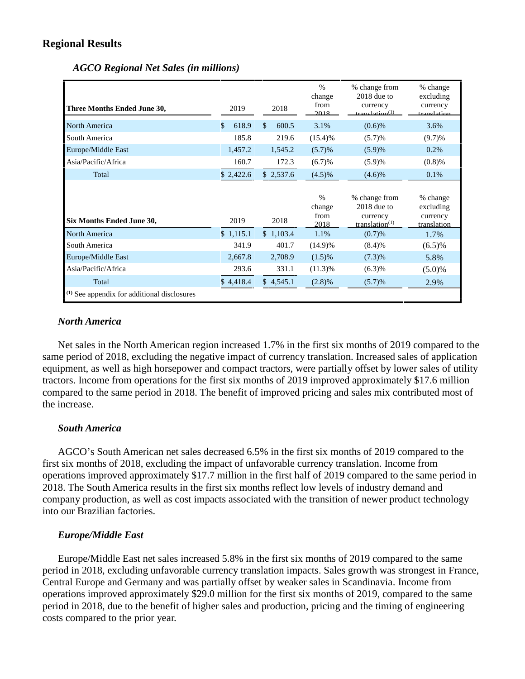## **Regional Results**

| Three Months Ended June 30, | 2019        | 2018                   | $\%$<br>change<br>from<br>2018 | % change from<br>$2018$ due to<br>currency<br>tranelation <sup>(1)</sup> | % change<br>excluding<br>currency<br>tranglation |
|-----------------------------|-------------|------------------------|--------------------------------|--------------------------------------------------------------------------|--------------------------------------------------|
| North America               | 618.9<br>\$ | $\mathcal{S}$<br>600.5 | 3.1%                           | $(0.6)$ %                                                                | 3.6%                                             |
| South America               | 185.8       | 219.6                  | (15.4)%                        | (5.7)%                                                                   | (9.7)%                                           |
| Europe/Middle East          | 1,457.2     | 1,545.2                | (5.7)%                         | (5.9)%                                                                   | 0.2%                                             |
| Asia/Pacific/Africa         | 160.7       | 172.3                  | (6.7)%                         | (5.9)%                                                                   | (0.8)%                                           |
| Total                       | \$2,422.6   | \$2,537.6              | $(4.5)\%$                      | (4.6)%                                                                   | 0.1%                                             |
|                             |             |                        | $\%$                           | % change from                                                            | % change                                         |
| Six Months Ended June 30,   | 2019        | 2018                   | change<br>from<br>2018         | $2018$ due to<br>currency<br>translation <sup><math>(1)</math></sup>     | excluding<br>currency<br>translation             |
| North America               | \$1,115.1   | \$1,103.4              | 1.1%                           | (0.7)%                                                                   | 1.7%                                             |
| South America               | 341.9       | 401.7                  | $(14.9)\%$                     | (8.4)%                                                                   | $(6.5)\%$                                        |
| Europe/Middle East          | 2,667.8     | 2,708.9                | $(1.5)\%$                      | (7.3)%                                                                   | 5.8%                                             |
| Asia/Pacific/Africa         | 293.6       | 331.1                  | $(11.3)\%$                     | (6.3)%                                                                   | $(5.0)\%$                                        |
| Total                       | \$4,418.4   | \$4,545.1              | $(2.8)\%$                      | (5.7)%                                                                   | 2.9%                                             |

*AGCO Regional Net Sales (in millions)*

## *North America*

Net sales in the North American region increased 1.7% in the first six months of 2019 compared to the same period of 2018, excluding the negative impact of currency translation. Increased sales of application equipment, as well as high horsepower and compact tractors, were partially offset by lower sales of utility tractors. Income from operations for the first six months of 2019 improved approximately \$17.6 million compared to the same period in 2018. The benefit of improved pricing and sales mix contributed most of the increase.

## *South America*

AGCO's South American net sales decreased 6.5% in the first six months of 2019 compared to the first six months of 2018, excluding the impact of unfavorable currency translation. Income from operations improved approximately \$17.7 million in the first half of 2019 compared to the same period in 2018. The South America results in the first six months reflect low levels of industry demand and company production, as well as cost impacts associated with the transition of newer product technology into our Brazilian factories.

## *Europe/Middle East*

Europe/Middle East net sales increased 5.8% in the first six months of 2019 compared to the same period in 2018, excluding unfavorable currency translation impacts. Sales growth was strongest in France, Central Europe and Germany and was partially offset by weaker sales in Scandinavia. Income from operations improved approximately \$29.0 million for the first six months of 2019, compared to the same period in 2018, due to the benefit of higher sales and production, pricing and the timing of engineering costs compared to the prior year.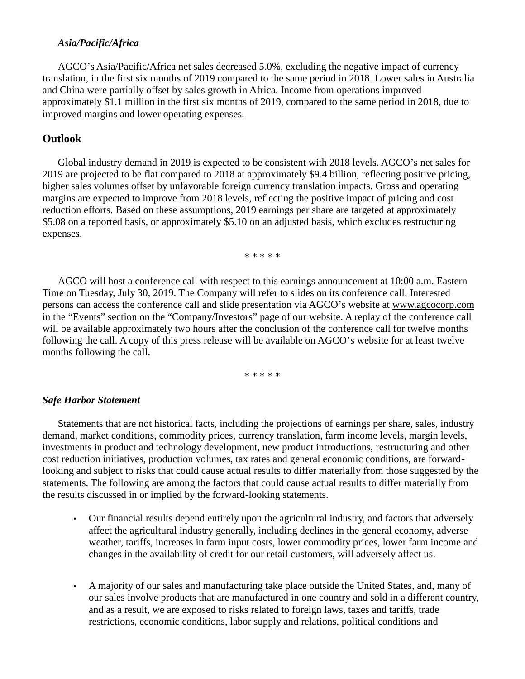### *Asia/Pacific/Africa*

AGCO's Asia/Pacific/Africa net sales decreased 5.0%, excluding the negative impact of currency translation, in the first six months of 2019 compared to the same period in 2018. Lower sales in Australia and China were partially offset by sales growth in Africa. Income from operations improved approximately \$1.1 million in the first six months of 2019, compared to the same period in 2018, due to improved margins and lower operating expenses.

## **Outlook**

Global industry demand in 2019 is expected to be consistent with 2018 levels. AGCO's net sales for 2019 are projected to be flat compared to 2018 at approximately \$9.4 billion, reflecting positive pricing, higher sales volumes offset by unfavorable foreign currency translation impacts. Gross and operating margins are expected to improve from 2018 levels, reflecting the positive impact of pricing and cost reduction efforts. Based on these assumptions, 2019 earnings per share are targeted at approximately \$5.08 on a reported basis, or approximately \$5.10 on an adjusted basis, which excludes restructuring expenses.

\* \* \* \* \*

AGCO will host a conference call with respect to this earnings announcement at 10:00 a.m. Eastern Time on Tuesday, July 30, 2019. The Company will refer to slides on its conference call. Interested persons can access the conference call and slide presentation via AGCO's website at www.agcocorp.com in the "Events" section on the "Company/Investors" page of our website. A replay of the conference call will be available approximately two hours after the conclusion of the conference call for twelve months following the call. A copy of this press release will be available on AGCO's website for at least twelve months following the call.

\* \* \* \* \*

### *Safe Harbor Statement*

Statements that are not historical facts, including the projections of earnings per share, sales, industry demand, market conditions, commodity prices, currency translation, farm income levels, margin levels, investments in product and technology development, new product introductions, restructuring and other cost reduction initiatives, production volumes, tax rates and general economic conditions, are forwardlooking and subject to risks that could cause actual results to differ materially from those suggested by the statements. The following are among the factors that could cause actual results to differ materially from the results discussed in or implied by the forward-looking statements.

- Our financial results depend entirely upon the agricultural industry, and factors that adversely affect the agricultural industry generally, including declines in the general economy, adverse weather, tariffs, increases in farm input costs, lower commodity prices, lower farm income and changes in the availability of credit for our retail customers, will adversely affect us.
- A majority of our sales and manufacturing take place outside the United States, and, many of our sales involve products that are manufactured in one country and sold in a different country, and as a result, we are exposed to risks related to foreign laws, taxes and tariffs, trade restrictions, economic conditions, labor supply and relations, political conditions and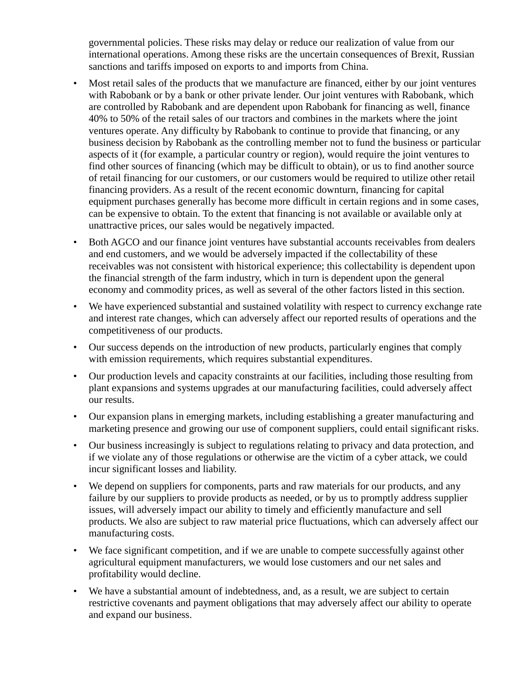governmental policies. These risks may delay or reduce our realization of value from our international operations. Among these risks are the uncertain consequences of Brexit, Russian sanctions and tariffs imposed on exports to and imports from China.

- Most retail sales of the products that we manufacture are financed, either by our joint ventures with Rabobank or by a bank or other private lender. Our joint ventures with Rabobank, which are controlled by Rabobank and are dependent upon Rabobank for financing as well, finance 40% to 50% of the retail sales of our tractors and combines in the markets where the joint ventures operate. Any difficulty by Rabobank to continue to provide that financing, or any business decision by Rabobank as the controlling member not to fund the business or particular aspects of it (for example, a particular country or region), would require the joint ventures to find other sources of financing (which may be difficult to obtain), or us to find another source of retail financing for our customers, or our customers would be required to utilize other retail financing providers. As a result of the recent economic downturn, financing for capital equipment purchases generally has become more difficult in certain regions and in some cases, can be expensive to obtain. To the extent that financing is not available or available only at unattractive prices, our sales would be negatively impacted.
- Both AGCO and our finance joint ventures have substantial accounts receivables from dealers and end customers, and we would be adversely impacted if the collectability of these receivables was not consistent with historical experience; this collectability is dependent upon the financial strength of the farm industry, which in turn is dependent upon the general economy and commodity prices, as well as several of the other factors listed in this section.
- We have experienced substantial and sustained volatility with respect to currency exchange rate and interest rate changes, which can adversely affect our reported results of operations and the competitiveness of our products.
- Our success depends on the introduction of new products, particularly engines that comply with emission requirements, which requires substantial expenditures.
- Our production levels and capacity constraints at our facilities, including those resulting from plant expansions and systems upgrades at our manufacturing facilities, could adversely affect our results.
- Our expansion plans in emerging markets, including establishing a greater manufacturing and marketing presence and growing our use of component suppliers, could entail significant risks.
- Our business increasingly is subject to regulations relating to privacy and data protection, and if we violate any of those regulations or otherwise are the victim of a cyber attack, we could incur significant losses and liability.
- We depend on suppliers for components, parts and raw materials for our products, and any failure by our suppliers to provide products as needed, or by us to promptly address supplier issues, will adversely impact our ability to timely and efficiently manufacture and sell products. We also are subject to raw material price fluctuations, which can adversely affect our manufacturing costs.
- We face significant competition, and if we are unable to compete successfully against other agricultural equipment manufacturers, we would lose customers and our net sales and profitability would decline.
- We have a substantial amount of indebtedness, and, as a result, we are subject to certain restrictive covenants and payment obligations that may adversely affect our ability to operate and expand our business.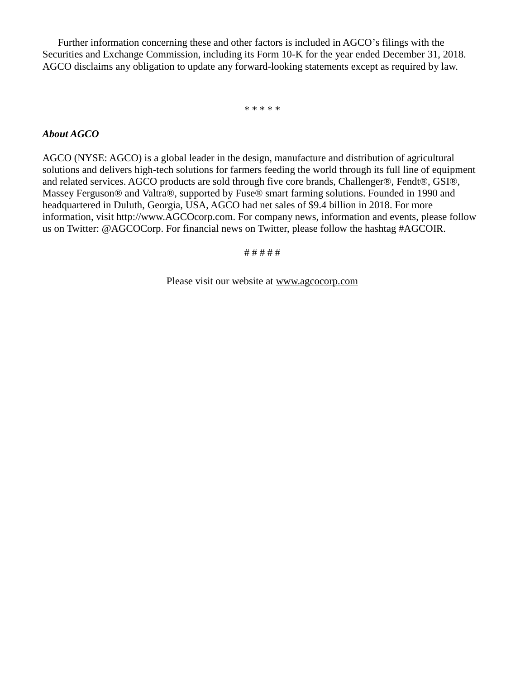Further information concerning these and other factors is included in AGCO's filings with the Securities and Exchange Commission, including its Form 10-K for the year ended December 31, 2018. AGCO disclaims any obligation to update any forward-looking statements except as required by law.

\* \* \* \* \*

### *About AGCO*

AGCO (NYSE: AGCO) is a global leader in the design, manufacture and distribution of agricultural solutions and delivers high-tech solutions for farmers feeding the world through its full line of equipment and related services. AGCO products are sold through five core brands, Challenger®, Fendt®, GSI®, Massey Ferguson® and Valtra®, supported by Fuse® smart farming solutions. Founded in 1990 and headquartered in Duluth, Georgia, USA, AGCO had net sales of \$9.4 billion in 2018. For more information, visit http://www.AGCOcorp.com. For company news, information and events, please follow us on Twitter: @AGCOCorp. For financial news on Twitter, please follow the hashtag #AGCOIR.

# # # # #

Please visit our website at www.agcocorp.com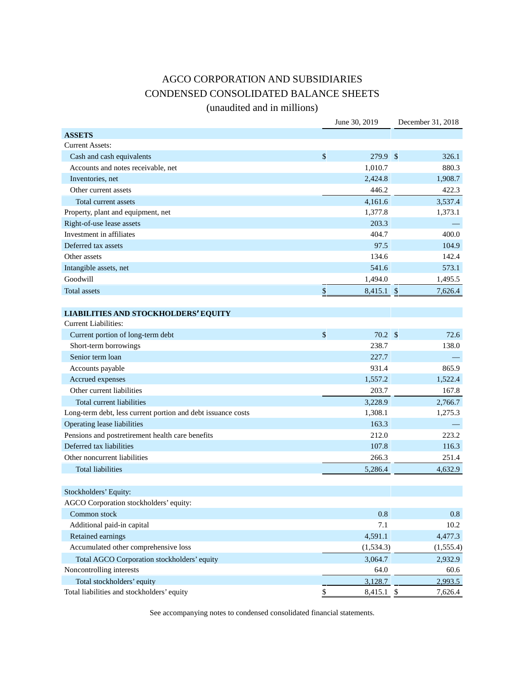# AGCO CORPORATION AND SUBSIDIARIES CONDENSED CONSOLIDATED BALANCE SHEETS

(unaudited and in millions)

|                                                              | June 30, 2019            | December 31, 2018 |
|--------------------------------------------------------------|--------------------------|-------------------|
| <b>ASSETS</b>                                                |                          |                   |
| <b>Current Assets:</b>                                       |                          |                   |
| Cash and cash equivalents                                    | \$<br>279.9 \$           | 326.1             |
| Accounts and notes receivable, net                           | 1,010.7                  | 880.3             |
| Inventories, net                                             | 2,424.8                  | 1,908.7           |
| Other current assets                                         | 446.2                    | 422.3             |
| Total current assets                                         | 4,161.6                  | 3,537.4           |
| Property, plant and equipment, net                           | 1,377.8                  | 1,373.1           |
| Right-of-use lease assets                                    | 203.3                    |                   |
| Investment in affiliates                                     | 404.7                    | 400.0             |
| Deferred tax assets                                          | 97.5                     | 104.9             |
| Other assets                                                 | 134.6                    | 142.4             |
| Intangible assets, net                                       | 541.6                    | 573.1             |
| Goodwill                                                     | 1,494.0                  | 1,495.5           |
| Total assets                                                 | \$<br>$8,415.1$ \$       | 7,626.4           |
|                                                              |                          |                   |
| <b>LIABILITIES AND STOCKHOLDERS' EQUITY</b>                  |                          |                   |
| <b>Current Liabilities:</b>                                  |                          |                   |
| Current portion of long-term debt                            | \$<br>$70.2 \text{ }$ \$ | 72.6              |
| Short-term borrowings                                        | 238.7                    | 138.0             |
| Senior term loan                                             | 227.7                    |                   |
| Accounts payable                                             | 931.4                    | 865.9             |
| Accrued expenses                                             | 1,557.2                  | 1,522.4           |
| Other current liabilities                                    | 203.7                    | 167.8             |
| Total current liabilities                                    | 3,228.9                  | 2,766.7           |
| Long-term debt, less current portion and debt issuance costs | 1,308.1                  | 1,275.3           |
| Operating lease liabilities                                  | 163.3                    |                   |
| Pensions and postretirement health care benefits             | 212.0                    | 223.2             |
| Deferred tax liabilities                                     | 107.8                    | 116.3             |
| Other noncurrent liabilities                                 | 266.3                    | 251.4             |
| <b>Total liabilities</b>                                     | 5,286.4                  | 4,632.9           |
|                                                              |                          |                   |
| Stockholders' Equity:                                        |                          |                   |
| AGCO Corporation stockholders' equity:                       |                          |                   |
| Common stock                                                 | 0.8                      | 0.8               |
| Additional paid-in capital                                   | 7.1                      | 10.2              |
| Retained earnings                                            | 4,591.1                  | 4,477.3           |
| Accumulated other comprehensive loss                         | (1, 534.3)               | (1, 555.4)        |
| Total AGCO Corporation stockholders' equity                  | 3,064.7                  | 2,932.9           |
| Noncontrolling interests                                     | 64.0                     | 60.6              |
| Total stockholders' equity                                   | 3,128.7                  | 2,993.5           |
| Total liabilities and stockholders' equity                   | \$<br>8,415.1 \$         | 7,626.4           |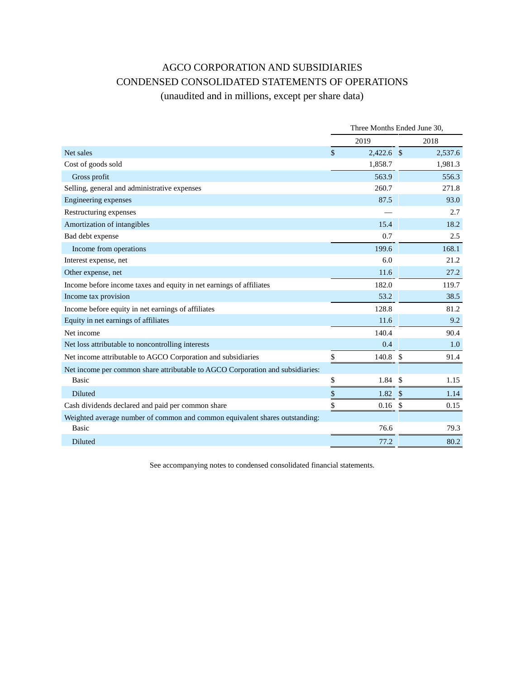# AGCO CORPORATION AND SUBSIDIARIES CONDENSED CONSOLIDATED STATEMENTS OF OPERATIONS

(unaudited and in millions, except per share data)

|                                                                                | Three Months Ended June 30, |                    |              |         |  |  |
|--------------------------------------------------------------------------------|-----------------------------|--------------------|--------------|---------|--|--|
|                                                                                |                             | 2019               | 2018         |         |  |  |
| Net sales                                                                      | $\mathbb{S}$                | $2,422.6$ \$       |              | 2,537.6 |  |  |
| Cost of goods sold                                                             |                             | 1,858.7            |              | 1,981.3 |  |  |
| Gross profit                                                                   |                             | 563.9              |              | 556.3   |  |  |
| Selling, general and administrative expenses                                   |                             | 260.7              |              | 271.8   |  |  |
| Engineering expenses                                                           |                             | 87.5               |              | 93.0    |  |  |
| Restructuring expenses                                                         |                             |                    |              | 2.7     |  |  |
| Amortization of intangibles                                                    |                             | 15.4               |              | 18.2    |  |  |
| Bad debt expense                                                               |                             | 0.7                |              | 2.5     |  |  |
| Income from operations                                                         |                             | 199.6              |              | 168.1   |  |  |
| Interest expense, net                                                          |                             | 6.0                |              | 21.2    |  |  |
| Other expense, net                                                             |                             | 11.6               |              | 27.2    |  |  |
| Income before income taxes and equity in net earnings of affiliates            |                             | 182.0              |              | 119.7   |  |  |
| Income tax provision                                                           |                             | 53.2               |              | 38.5    |  |  |
| Income before equity in net earnings of affiliates                             |                             | 128.8              |              | 81.2    |  |  |
| Equity in net earnings of affiliates                                           |                             | 11.6               |              | 9.2     |  |  |
| Net income                                                                     |                             | 140.4              |              | 90.4    |  |  |
| Net loss attributable to noncontrolling interests                              |                             | 0.4                |              | 1.0     |  |  |
| Net income attributable to AGCO Corporation and subsidiaries                   | \$                          | $140.8\text{ }$\$$ |              | 91.4    |  |  |
| Net income per common share attributable to AGCO Corporation and subsidiaries: |                             |                    |              |         |  |  |
| Basic                                                                          | \$                          | 1.84               | $\mathbb{S}$ | 1.15    |  |  |
| Diluted                                                                        | \$                          | $1.82 \quad$ \$    |              | 1.14    |  |  |
| Cash dividends declared and paid per common share                              | \$                          | $0.16$ \$          |              | 0.15    |  |  |
| Weighted average number of common and common equivalent shares outstanding:    |                             |                    |              |         |  |  |
| Basic                                                                          |                             | 76.6               |              | 79.3    |  |  |
| Diluted                                                                        |                             | 77.2               |              | 80.2    |  |  |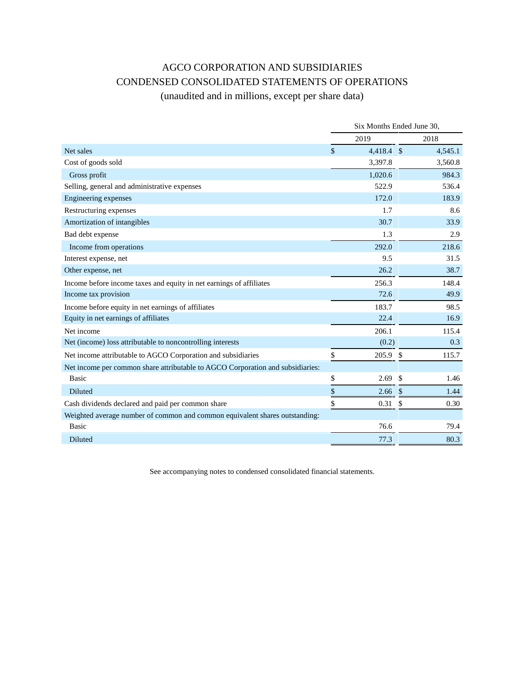# AGCO CORPORATION AND SUBSIDIARIES CONDENSED CONSOLIDATED STATEMENTS OF OPERATIONS

# (unaudited and in millions, except per share data)

|                                                                                | Six Months Ended June 30. |              |               |         |  |  |
|--------------------------------------------------------------------------------|---------------------------|--------------|---------------|---------|--|--|
|                                                                                |                           | 2019         |               | 2018    |  |  |
| Net sales                                                                      | $\mathcal{S}$             | $4,418.4$ \$ |               | 4,545.1 |  |  |
| Cost of goods sold                                                             |                           | 3,397.8      |               | 3,560.8 |  |  |
| Gross profit                                                                   |                           | 1,020.6      |               | 984.3   |  |  |
| Selling, general and administrative expenses                                   |                           | 522.9        |               | 536.4   |  |  |
| Engineering expenses                                                           |                           | 172.0        |               | 183.9   |  |  |
| Restructuring expenses                                                         |                           | 1.7          |               | 8.6     |  |  |
| Amortization of intangibles                                                    |                           | 30.7         |               | 33.9    |  |  |
| Bad debt expense                                                               |                           | 1.3          |               | 2.9     |  |  |
| Income from operations                                                         |                           | 292.0        |               | 218.6   |  |  |
| Interest expense, net                                                          |                           | 9.5          |               | 31.5    |  |  |
| Other expense, net                                                             |                           | 26.2         |               | 38.7    |  |  |
| Income before income taxes and equity in net earnings of affiliates            |                           | 256.3        |               | 148.4   |  |  |
| Income tax provision                                                           |                           | 72.6         |               | 49.9    |  |  |
| Income before equity in net earnings of affiliates                             |                           | 183.7        |               | 98.5    |  |  |
| Equity in net earnings of affiliates                                           |                           | 22.4         |               | 16.9    |  |  |
| Net income                                                                     |                           | 206.1        |               | 115.4   |  |  |
| Net (income) loss attributable to noncontrolling interests                     |                           | (0.2)        |               | 0.3     |  |  |
| Net income attributable to AGCO Corporation and subsidiaries                   | \$                        | 205.9        | $\mathcal{S}$ | 115.7   |  |  |
| Net income per common share attributable to AGCO Corporation and subsidiaries: |                           |              |               |         |  |  |
| <b>Basic</b>                                                                   | \$                        | 2.69         | \$            | 1.46    |  |  |
| Diluted                                                                        | \$                        | 2.66         | $\frac{1}{2}$ | 1.44    |  |  |
| Cash dividends declared and paid per common share                              | \$                        | 0.31         | \$            | 0.30    |  |  |
| Weighted average number of common and common equivalent shares outstanding:    |                           |              |               |         |  |  |
| <b>Basic</b>                                                                   |                           | 76.6         |               | 79.4    |  |  |
| Diluted                                                                        |                           | 77.3         |               | 80.3    |  |  |
|                                                                                |                           |              |               |         |  |  |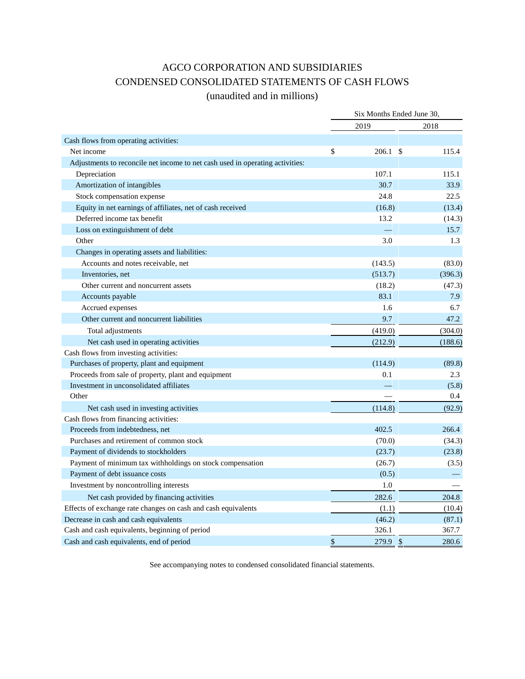# AGCO CORPORATION AND SUBSIDIARIES CONDENSED CONSOLIDATED STATEMENTS OF CASH FLOWS

## (unaudited and in millions)

|                                                                               | Six Months Ended June 30, |         |  |  |  |
|-------------------------------------------------------------------------------|---------------------------|---------|--|--|--|
|                                                                               | 2019                      | 2018    |  |  |  |
| Cash flows from operating activities:                                         |                           |         |  |  |  |
| Net income                                                                    | \$<br>206.1 S             | 115.4   |  |  |  |
| Adjustments to reconcile net income to net cash used in operating activities: |                           |         |  |  |  |
| Depreciation                                                                  | 107.1                     | 115.1   |  |  |  |
| Amortization of intangibles                                                   | 30.7                      | 33.9    |  |  |  |
| Stock compensation expense                                                    | 24.8                      | 22.5    |  |  |  |
| Equity in net earnings of affiliates, net of cash received                    | (16.8)                    | (13.4)  |  |  |  |
| Deferred income tax benefit                                                   | 13.2                      | (14.3)  |  |  |  |
| Loss on extinguishment of debt                                                |                           | 15.7    |  |  |  |
| Other                                                                         | 3.0                       | 1.3     |  |  |  |
| Changes in operating assets and liabilities:                                  |                           |         |  |  |  |
| Accounts and notes receivable, net                                            | (143.5)                   | (83.0)  |  |  |  |
| Inventories, net                                                              | (513.7)                   | (396.3) |  |  |  |
| Other current and noncurrent assets                                           | (18.2)                    | (47.3)  |  |  |  |
| Accounts payable                                                              | 83.1                      | 7.9     |  |  |  |
| Accrued expenses                                                              | 1.6                       | 6.7     |  |  |  |
| Other current and noncurrent liabilities                                      | 9.7                       | 47.2    |  |  |  |
| Total adjustments                                                             | (419.0)                   | (304.0) |  |  |  |
| Net cash used in operating activities                                         | (212.9)                   | (188.6) |  |  |  |
| Cash flows from investing activities:                                         |                           |         |  |  |  |
| Purchases of property, plant and equipment                                    | (114.9)                   | (89.8)  |  |  |  |
| Proceeds from sale of property, plant and equipment                           | 0.1                       | 2.3     |  |  |  |
| Investment in unconsolidated affiliates                                       |                           | (5.8)   |  |  |  |
| Other                                                                         |                           | 0.4     |  |  |  |
| Net cash used in investing activities                                         | (114.8)                   | (92.9)  |  |  |  |
| Cash flows from financing activities:                                         |                           |         |  |  |  |
| Proceeds from indebtedness, net                                               | 402.5                     | 266.4   |  |  |  |
| Purchases and retirement of common stock                                      | (70.0)                    | (34.3)  |  |  |  |
| Payment of dividends to stockholders                                          | (23.7)                    | (23.8)  |  |  |  |
| Payment of minimum tax withholdings on stock compensation                     | (26.7)                    | (3.5)   |  |  |  |
| Payment of debt issuance costs                                                | (0.5)                     |         |  |  |  |
| Investment by noncontrolling interests                                        | 1.0                       |         |  |  |  |
| Net cash provided by financing activities                                     | 282.6                     | 204.8   |  |  |  |
| Effects of exchange rate changes on cash and cash equivalents                 | (1.1)                     | (10.4)  |  |  |  |
| Decrease in cash and cash equivalents                                         | (46.2)                    | (87.1)  |  |  |  |
| Cash and cash equivalents, beginning of period                                | 326.1                     | 367.7   |  |  |  |
| Cash and cash equivalents, end of period                                      | \$<br>279.9 \$            | 280.6   |  |  |  |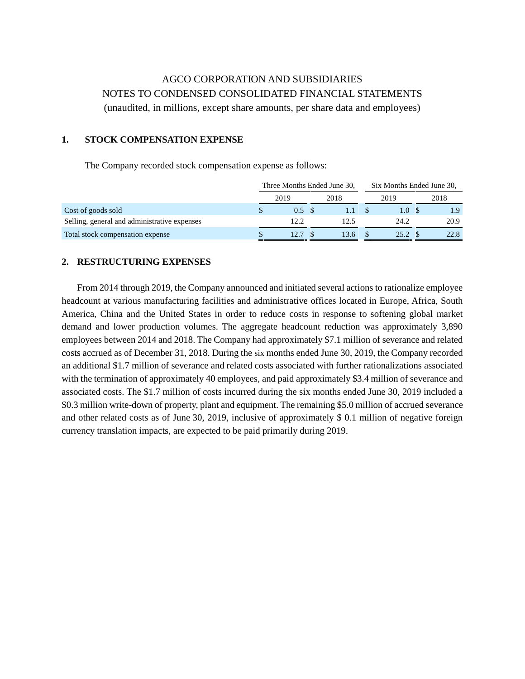# AGCO CORPORATION AND SUBSIDIARIES NOTES TO CONDENSED CONSOLIDATED FINANCIAL STATEMENTS (unaudited, in millions, except share amounts, per share data and employees)

### **1. STOCK COMPENSATION EXPENSE**

The Company recorded stock compensation expense as follows:

|                                              | Three Months Ended June 30, |                   |  |      |  | Six Months Ended June 30, |  |      |  |
|----------------------------------------------|-----------------------------|-------------------|--|------|--|---------------------------|--|------|--|
|                                              |                             | 2019              |  | 2018 |  | 2019                      |  | 2018 |  |
| Cost of goods sold                           |                             | $0.5 \text{ }$ \$ |  |      |  | 1.0 S                     |  | 1.9  |  |
| Selling, general and administrative expenses |                             | 12.2              |  | 12.5 |  | 24.2                      |  | 20.9 |  |
| Total stock compensation expense             |                             |                   |  | 13.6 |  | 25.2                      |  | 22.8 |  |

### **2. RESTRUCTURING EXPENSES**

From 2014 through 2019, the Company announced and initiated several actions to rationalize employee headcount at various manufacturing facilities and administrative offices located in Europe, Africa, South America, China and the United States in order to reduce costs in response to softening global market demand and lower production volumes. The aggregate headcount reduction was approximately 3,890 employees between 2014 and 2018. The Company had approximately \$7.1 million of severance and related costs accrued as of December 31, 2018. During the six months ended June 30, 2019, the Company recorded an additional \$1.7 million of severance and related costs associated with further rationalizations associated with the termination of approximately 40 employees, and paid approximately \$3.4 million of severance and associated costs. The \$1.7 million of costs incurred during the six months ended June 30, 2019 included a \$0.3 million write-down of property, plant and equipment. The remaining \$5.0 million of accrued severance and other related costs as of June 30, 2019, inclusive of approximately \$ 0.1 million of negative foreign currency translation impacts, are expected to be paid primarily during 2019.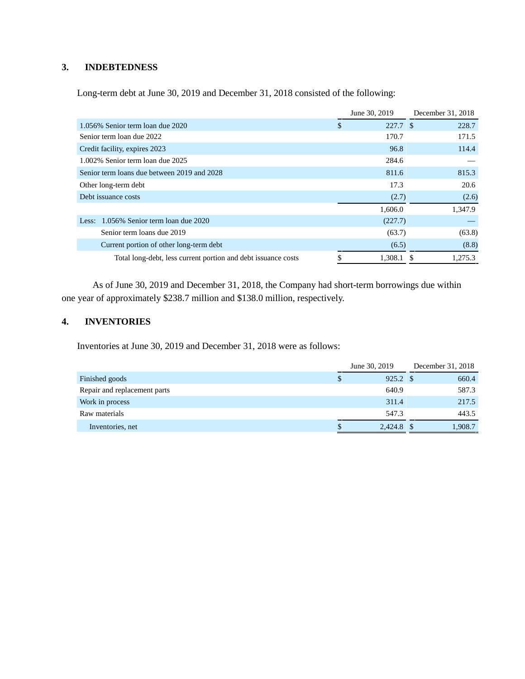### **3. INDEBTEDNESS**

Long-term debt at June 30, 2019 and December 31, 2018 consisted of the following:

|                                                               |   | June 30, 2019 | December 31, 2018 |
|---------------------------------------------------------------|---|---------------|-------------------|
| 1.056% Senior term loan due 2020                              | D | 227.7 \$      | 228.7             |
| Senior term loan due 2022                                     |   | 170.7         | 171.5             |
| Credit facility, expires 2023                                 |   | 96.8          | 114.4             |
| 1.002% Senior term loan due 2025                              |   | 284.6         |                   |
| Senior term loans due between 2019 and 2028                   |   | 811.6         | 815.3             |
| Other long-term debt                                          |   | 17.3          | 20.6              |
| Debt issuance costs                                           |   | (2.7)         | (2.6)             |
|                                                               |   | 1,606.0       | 1,347.9           |
| 1.056% Senior term loan due 2020<br>Less:                     |   | (227.7)       |                   |
| Senior term loans due 2019                                    |   | (63.7)        | (63.8)            |
| Current portion of other long-term debt                       |   | (6.5)         | (8.8)             |
| Total long-debt, less current portion and debt issuance costs |   | 1,308.1       | 1.275.3<br>-SS    |

As of June 30, 2019 and December 31, 2018, the Company had short-term borrowings due within one year of approximately \$238.7 million and \$138.0 million, respectively.

## **4. INVENTORIES**

Inventories at June 30, 2019 and December 31, 2018 were as follows:

|                              | June 30, 2019 |              | December 31, 2018 |  |
|------------------------------|---------------|--------------|-------------------|--|
| Finished goods               |               | 925.2 \$     | 660.4             |  |
| Repair and replacement parts |               | 640.9        | 587.3             |  |
| Work in process              |               | 311.4        | 217.5             |  |
| Raw materials                |               | 547.3        | 443.5             |  |
| Inventories, net             | S.            | $2,424.8$ \$ | 1,908.7           |  |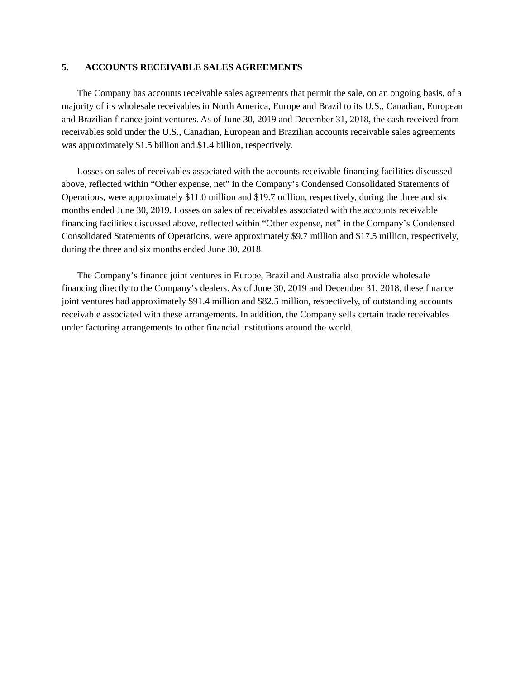#### **5. ACCOUNTS RECEIVABLE SALES AGREEMENTS**

The Company has accounts receivable sales agreements that permit the sale, on an ongoing basis, of a majority of its wholesale receivables in North America, Europe and Brazil to its U.S., Canadian, European and Brazilian finance joint ventures. As of June 30, 2019 and December 31, 2018, the cash received from receivables sold under the U.S., Canadian, European and Brazilian accounts receivable sales agreements was approximately \$1.5 billion and \$1.4 billion, respectively.

Losses on sales of receivables associated with the accounts receivable financing facilities discussed above, reflected within "Other expense, net" in the Company's Condensed Consolidated Statements of Operations, were approximately \$11.0 million and \$19.7 million, respectively, during the three and six months ended June 30, 2019. Losses on sales of receivables associated with the accounts receivable financing facilities discussed above, reflected within "Other expense, net" in the Company's Condensed Consolidated Statements of Operations, were approximately \$9.7 million and \$17.5 million, respectively, during the three and six months ended June 30, 2018.

The Company's finance joint ventures in Europe, Brazil and Australia also provide wholesale financing directly to the Company's dealers. As of June 30, 2019 and December 31, 2018, these finance joint ventures had approximately \$91.4 million and \$82.5 million, respectively, of outstanding accounts receivable associated with these arrangements. In addition, the Company sells certain trade receivables under factoring arrangements to other financial institutions around the world.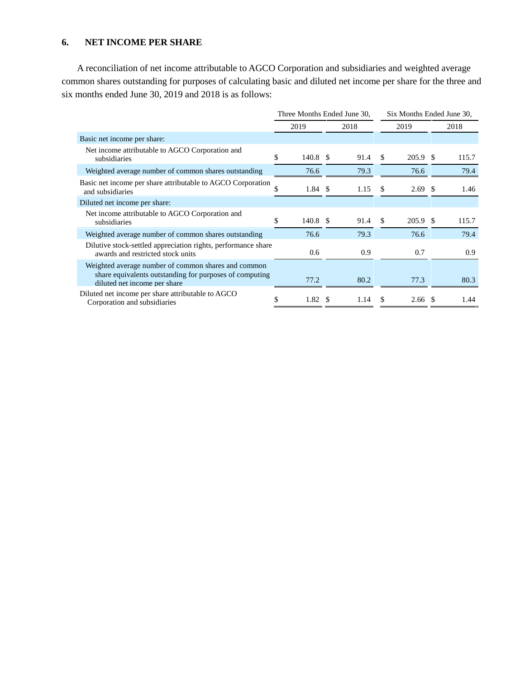## **6. NET INCOME PER SHARE**

A reconciliation of net income attributable to AGCO Corporation and subsidiaries and weighted average common shares outstanding for purposes of calculating basic and diluted net income per share for the three and six months ended June 30, 2019 and 2018 is as follows:

|                                                                                                                                                | Three Months Ended June 30, |                    |  |      |     |                    | Six Months Ended June 30, |       |  |
|------------------------------------------------------------------------------------------------------------------------------------------------|-----------------------------|--------------------|--|------|-----|--------------------|---------------------------|-------|--|
|                                                                                                                                                | 2019                        |                    |  | 2018 |     | 2019               |                           | 2018  |  |
| Basic net income per share:                                                                                                                    |                             |                    |  |      |     |                    |                           |       |  |
| Net income attributable to AGCO Corporation and<br>subsidiaries                                                                                | \$                          | 140.8 \$           |  | 91.4 | \$  | 205.9 \$           |                           | 115.7 |  |
| Weighted average number of common shares outstanding                                                                                           |                             | 76.6               |  | 79.3 |     | 76.6               |                           | 79.4  |  |
| Basic net income per share attributable to AGCO Corporation<br>and subsidiaries                                                                | \$                          | $1.84 \text{ }$ \$ |  | 1.15 | \$. | $2.69$ \$          |                           | 1.46  |  |
| Diluted net income per share:                                                                                                                  |                             |                    |  |      |     |                    |                           |       |  |
| Net income attributable to AGCO Corporation and<br>subsidiaries                                                                                | S.                          | 140.8 \$           |  | 91.4 | \$  | 205.9 \$           |                           | 115.7 |  |
| Weighted average number of common shares outstanding                                                                                           |                             | 76.6               |  | 79.3 |     | 76.6               |                           | 79.4  |  |
| Dilutive stock-settled appreciation rights, performance share<br>awards and restricted stock units                                             |                             | 0.6                |  | 0.9  |     | 0.7                |                           | 0.9   |  |
| Weighted average number of common shares and common<br>share equivalents outstanding for purposes of computing<br>diluted net income per share |                             | 77.2               |  | 80.2 |     | 77.3               |                           | 80.3  |  |
| Diluted net income per share attributable to AGCO<br>Corporation and subsidiaries                                                              | \$                          | 1.82S              |  | 1.14 | \$. | $2.66 \text{ }$ \$ |                           | 1.44  |  |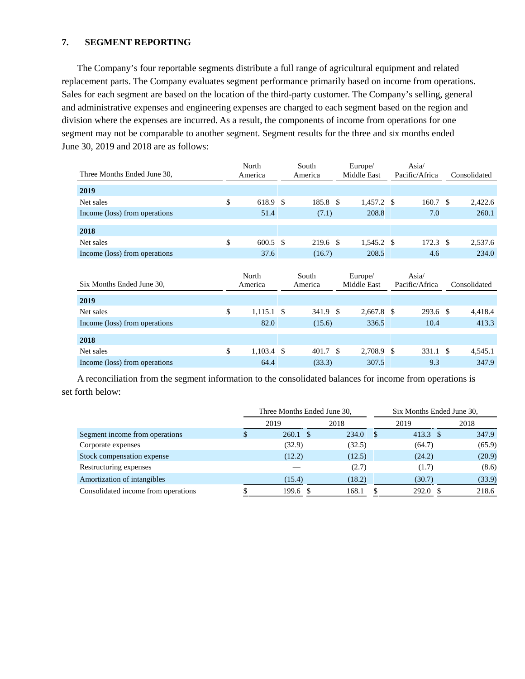### **7. SEGMENT REPORTING**

The Company's four reportable segments distribute a full range of agricultural equipment and related replacement parts. The Company evaluates segment performance primarily based on income from operations. Sales for each segment are based on the location of the third-party customer. The Company's selling, general and administrative expenses and engineering expenses are charged to each segment based on the region and division where the expenses are incurred. As a result, the components of income from operations for one segment may not be comparable to another segment. Segment results for the three and six months ended June 30, 2019 and 2018 are as follows:

|                               | North<br>South     |  | Europe/          | Asia/ |                        |               |                                   |               |              |  |
|-------------------------------|--------------------|--|------------------|-------|------------------------|---------------|-----------------------------------|---------------|--------------|--|
| Three Months Ended June 30,   | America            |  | America          |       | Middle East            |               | Pacific/Africa                    |               | Consolidated |  |
| 2019                          |                    |  |                  |       |                        |               |                                   |               |              |  |
| Net sales                     | \$<br>618.9 \$     |  | 185.8 \$         |       | $1,457.2$ \$           |               | 160.7                             | <sup>\$</sup> | 2,422.6      |  |
| Income (loss) from operations | 51.4               |  | (7.1)            |       | 208.8                  |               | 7.0                               |               | 260.1        |  |
| 2018                          |                    |  |                  |       |                        |               |                                   |               |              |  |
| Net sales                     | \$<br>$600.5$ \$   |  | 219.6 \$         |       | $1,545.2$ \$           |               | $172.3$ \$                        |               | 2,537.6      |  |
|                               | 37.6               |  |                  |       | 208.5                  |               | 4.6                               |               | 234.0        |  |
| Income (loss) from operations |                    |  | (16.7)           |       |                        |               |                                   |               |              |  |
|                               |                    |  |                  |       |                        |               |                                   |               |              |  |
| Six Months Ended June 30,     | North<br>America   |  | South<br>America |       | Europe/<br>Middle East |               | Asia $\sqrt{ }$<br>Pacific/Africa |               | Consolidated |  |
| 2019                          |                    |  |                  |       |                        |               |                                   |               |              |  |
| Net sales                     | \$<br>$1,115.1$ \$ |  | 341.9 \$         |       | $2,667.8$ \$           |               | $293.6$ \$                        |               | 4,418.4      |  |
| Income (loss) from operations | 82.0               |  | (15.6)           |       | 336.5                  |               | 10.4                              |               | 413.3        |  |
| 2018                          |                    |  |                  |       |                        |               |                                   |               |              |  |
| Net sales                     | \$<br>$1,103.4$ \$ |  | 401.7 \$         |       | 2,708.9                | <sup>\$</sup> | 331.1                             | <sup>\$</sup> | 4,545.1      |  |

A reconciliation from the segment information to the consolidated balances for income from operations is set forth below:

|                                     | Three Months Ended June 30, |        |          | Six Months Ended June 30, |        |  |
|-------------------------------------|-----------------------------|--------|----------|---------------------------|--------|--|
|                                     | 2019                        | 2018   | 2019     |                           | 2018   |  |
| Segment income from operations      | $260.1 \text{ }$ \$         | 234.0  | 413.3 \$ |                           | 347.9  |  |
| Corporate expenses                  | (32.9)                      | (32.5) | (64.7)   |                           | (65.9) |  |
| Stock compensation expense          | (12.2)                      | (12.5) | (24.2)   |                           | (20.9) |  |
| Restructuring expenses              |                             | (2.7)  | (1.7)    |                           | (8.6)  |  |
| Amortization of intangibles         | (15.4)                      | (18.2) | (30.7)   |                           | (33.9) |  |
| Consolidated income from operations | $199.6$ \$                  | 168.1  | 292.0    |                           | 218.6  |  |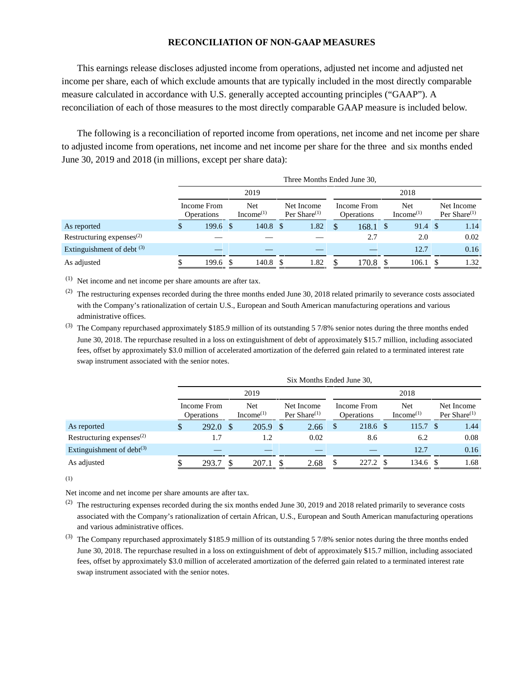### **RECONCILIATION OF NON-GAAP MEASURES**

This earnings release discloses adjusted income from operations, adjusted net income and adjusted net income per share, each of which exclude amounts that are typically included in the most directly comparable measure calculated in accordance with U.S. generally accepted accounting principles ("GAAP"). A reconciliation of each of those measures to the most directly comparable GAAP measure is included below.

The following is a reconciliation of reported income from operations, net income and net income per share to adjusted income from operations, net income and net income per share for the three and six months ended June 30, 2019 and 2018 (in millions, except per share data):

|                                       |                           |    |                              |  | Three Months Ended June 30,   |      |                                  |  |                              |  |                               |  |
|---------------------------------------|---------------------------|----|------------------------------|--|-------------------------------|------|----------------------------------|--|------------------------------|--|-------------------------------|--|
|                                       | 2019                      |    |                              |  |                               | 2018 |                                  |  |                              |  |                               |  |
|                                       | Income From<br>Operations |    | Net<br>Income <sup>(1)</sup> |  | Net Income<br>Per Share $(1)$ |      | Income From<br><b>Operations</b> |  | Net<br>Income <sup>(1)</sup> |  | Net Income<br>Per Share $(1)$ |  |
| As reported                           | \$<br>$199.6 \text{ }$ \$ |    | $140.8 \text{ }$ \$          |  | 1.82                          | \$   | $168.1 \text{ }$ \$              |  | $91.4 \text{ } $$            |  | 1.14                          |  |
| Restructuring expenses $^{(2)}$       |                           |    |                              |  |                               |      | 2.7                              |  | 2.0                          |  | 0.02                          |  |
| Extinguishment of debt <sup>(3)</sup> |                           |    |                              |  |                               |      |                                  |  | 12.7                         |  | 0.16                          |  |
| As adjusted                           | 199.6                     | -8 | 140.8 \$                     |  | 1.82                          | S    | 170.8                            |  | 106.1                        |  | 1.32                          |  |

(1) Net income and net income per share amounts are after tax.

 $(2)$  The restructuring expenses recorded during the three months ended June 30, 2018 related primarily to severance costs associated with the Company's rationalization of certain U.S., European and South American manufacturing operations and various administrative offices.

(3) The Company repurchased approximately \$185.9 million of its outstanding 5 7/8% senior notes during the three months ended June 30, 2018. The repurchase resulted in a loss on extinguishment of debt of approximately \$15.7 million, including associated fees, offset by approximately \$3.0 million of accelerated amortization of the deferred gain related to a terminated interest rate swap instrument associated with the senior notes.

|                                 |   |                                  |      |                               |      | Six Months Ended June 30,     |    |                                                   |  |                     |  |                               |  |
|---------------------------------|---|----------------------------------|------|-------------------------------|------|-------------------------------|----|---------------------------------------------------|--|---------------------|--|-------------------------------|--|
|                                 |   | 2019                             |      |                               |      | 2018                          |    |                                                   |  |                     |  |                               |  |
|                                 |   | Income From<br><b>Operations</b> |      | Net.<br>Income <sup>(1)</sup> |      | Net Income<br>Per Share $(1)$ |    | Net<br>Income <sup>(1)</sup><br><b>Operations</b> |  | Income From         |  | Net Income<br>Per Share $(1)$ |  |
| As reported                     | S | 292.0                            | - \$ | 205.9                         | - \$ | 2.66                          | -S | 218.6 \$                                          |  | 115.7 <sup>°</sup>  |  | 1.44                          |  |
| Restructuring expenses $^{(2)}$ |   | 1.7                              |      | 1.2                           |      | 0.02                          |    | 8.6                                               |  | 6.2                 |  | 0.08                          |  |
| Extinguishment of debt $(3)$    |   |                                  |      |                               |      |                               |    |                                                   |  | 12.7                |  | 0.16                          |  |
| As adjusted                     |   | 293.7                            |      | 207.1                         |      | 2.68                          |    | 227.2 \$                                          |  | $134.6 \text{ }$ \$ |  | 1.68                          |  |

(1)

Net income and net income per share amounts are after tax.

(2) The restructuring expenses recorded during the six months ended June 30, 2019 and 2018 related primarily to severance costs associated with the Company's rationalization of certain African, U.S., European and South American manufacturing operations and various administrative offices.

(3) The Company repurchased approximately \$185.9 million of its outstanding 5 7/8% senior notes during the three months ended June 30, 2018. The repurchase resulted in a loss on extinguishment of debt of approximately \$15.7 million, including associated fees, offset by approximately \$3.0 million of accelerated amortization of the deferred gain related to a terminated interest rate swap instrument associated with the senior notes.